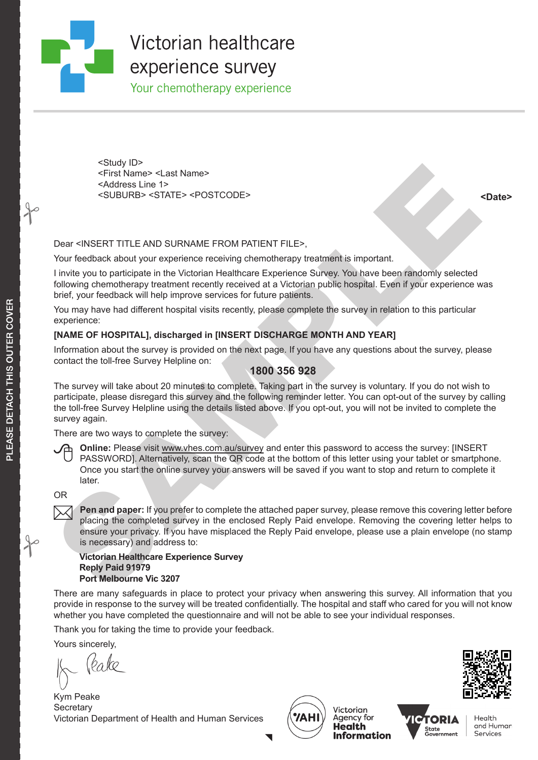#### **Read The Victor** Whilst every care is the content of the proof of the proof of the proof of the proof of the proof of the proof of the proof of the proof of the proof of the proof of the proof of the proof of the proof of the proof of the **document, it is customer's responsibility to ensure that all WE WARD AND IMAGES AND INCLUSIVE AREA**

Your chemotherapy experience

Your emergency experience <First Name> <Last Name> <Study ID> <Address Line 1> <SUBURB> <STATE> <POSTCODE> **<Date>** 

#### Dear <INSERT TITLE AND SURNAME FROM PATIENT FILE>,

Your feedback about your experience receiving chemotherapy treatment is important.

I invite you to participate in the Victorian Healthcare Experience Survey. You have been randomly selected following chemotherapy treatment recently received at a Victorian public hospital. Even if your experience was brief, your feedback will help improve services for future patients.

You may have had different hospital visits recently, please complete the survey in relation to this particular experience:

#### **[NAME OF HOSPITAL], discharged in [INSERT DISCHARGE MONTH AND YEAR]**

Information about the survey is provided on the next page. If you have any questions about the survey, please contact the toll-free Survey Helpline on:

#### **1800 356 928**

States Line 1<br>
STRING Winners - Adat Names<br>
SCIBURE S- FIRE Names<br>
SCIBURE S- STATES - SPOSTCODES<br>
Certain SURNAME FROM PATIENT FILES,<br>
Your feedback about your experience centrifus converge transmitted in producing the me The survey will take about 20 minutes to complete. Taking part in the survey is voluntary. If you do not wish to participate, please disregard this survey and the following reminder letter. You can opt-out of the survey by calling the toll-free Survey Helpline using the details listed above. If you opt-out, you will not be invited to complete the survey again.

There are two ways to complete the survey:



 **Online:** Please visit www.vhes.com.au/survey and enter this password to access the survey: [INSERT PASSWORD]. Alternatively, scan the QR code at the bottom of this letter using your tablet or smartphone. Once you start the online survey your answers will be saved if you want to stop and return to complete it later.

OR

**Pen and paper:** If you prefer to complete the attached paper survey, please remove this covering letter before placing the completed survey in the enclosed Reply Paid envelope. Removing the covering letter helps to ensure your privacy. If you have misplaced the Reply Paid envelope, please use a plain envelope (no stamp is necessary) and address to:

**Victorian Healthcare Experience Survey Reply Paid 91979 Port Melbourne Vic 3207**

There are many safeguards in place to protect your privacy when answering this survey. All information that you provide in response to the survey will be treated confidentially. The hospital and staff who cared for you will not know whether you have completed the questionnaire and will not be able to see your individual responses.

 $\blacktriangledown$ 

Thank you for taking the time to provide your feedback.

Yours sincerely,

<u>(</u>eake

Kym Peake **Secretary** Victorian Department of Health and Human Services







 $\rightarrow$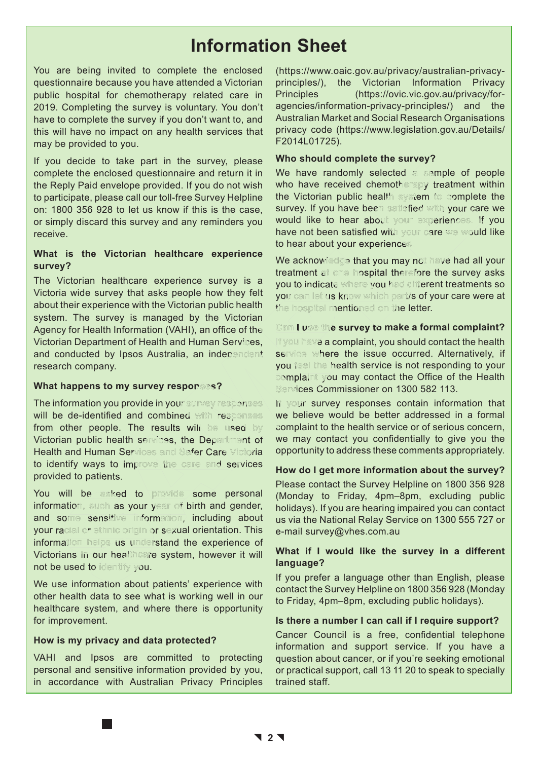# **Information Sheet**

You are being invited to complete the enclosed questionnaire because you have attended a Victorian public hospital for chemotherapy related care in 2019. Completing the survey is voluntary. You don't have to complete the survey if you don't want to, and this will have no impact on any health services that may be provided to you.

If you decide to take part in the survey, please complete the enclosed questionnaire and return it in the Reply Paid envelope provided. If you do not wish to participate, please call our toll-free Survey Helpline on: 1800 356 928 to let us know if this is the case, or simply discard this survey and any reminders you receive.

#### **What is the Victorian healthcare experience survey?**

The Victorian healthcare experience survey is a Victoria wide survey that asks people how they felt about their experience with the Victorian public health system. The survey is managed by the Victorian Agency for Health Information (VAHI), an office of the Victorian Department of Health and Human Services, and conducted by Ipsos Australia, an independent research company. or the the endosed questionnaire and return this the have randomly selected sometimes<br>
Fighte the endosed questionnaire and return tim We have reached denotes.... "I repare the endosed pure increase call our tilt list the

#### **What happens to my survey responses?**

The information you provide in your survey responses will be de-identified and combined with responses from other people. The results will be used by Victorian public health services, the Department of **Health and Human Services and Safer Care Victoria** to identify ways to improve the care and services provided to patients.

You will be asked to provide some personal information, such as your year of birth and gender, and some sensitive information, including about your racial or ethnic origin or sexual orientation. This information helps us understand the experience of Victorians in our healthcare system, however it will not be used to identify you.

We use information about patients' experience with other health data to see what is working well in our healthcare system, and where there is opportunity for improvement.

#### **How is my privacy and data protected?**

VAHI and Ipsos are committed to protecting personal and sensitive information provided by you, in accordance with Australian Privacy Principles (https://www.oaic.gov.au/privacy/australian-privacyprinciples/), the Victorian Information Privacy Principles (https://ovic.vic.gov.au/privacy/foragencies/information-privacy-principles/) and the Australian Market and Social Research Organisations privacy code (https://www.legislation.gov.au/Details/ F2014L01725).

#### **Who should complete the survey?**

We have randomly selected a sample of people who have received chemotherapy treatment within the Victorian public health system to complete the survey. If you have been satisfied with your care we would like to hear about your experiences. If you have not been satisfied with your care we would like to hear about your experiences.

We acknowledge that you may not have had all your treatment at one hospital therefore the survey asks you to indicate where you had different treatments so you can let us know which part/s of your care were at the hospital mentioned on the letter.

**Cam I use the survey to make a formal complaint?** If you have a complaint, you should contact the health service where the issue occurred. Alternatively, if you feel the health service is not responding to your complaint you may contact the Office of the Health **Services Commissioner on 1300 582 113.** 

If your survey responses contain information that we believe would be better addressed in a formal complaint to the health service or of serious concern, we may contact you confidentially to give you the opportunity to address these comments appropriately.

#### **How do I get more information about the survey?**

Please contact the Survey Helpline on 1800 356 928 (Monday to Friday, 4pm–8pm, excluding public holidays). If you are hearing impaired you can contact us via the National Relay Service on 1300 555 727 or e-mail survey@vhes.com.au

#### **What if I would like the survey in a different language?**

If you prefer a language other than English, please contact the Survey Helpline on 1800 356 928 (Monday to Friday, 4pm–8pm, excluding public holidays).

#### **Is there a number I can call if I require support?**

Cancer Council is a free, confidential telephone information and support service. If you have a question about cancer, or if you're seeking emotional or practical support, call 13 11 20 to speak to specially trained staff.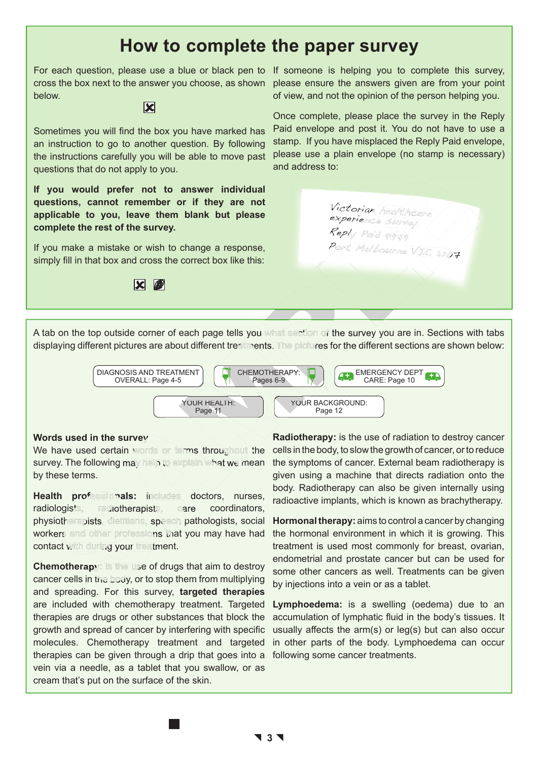## **How to complete the paper survey**

For each question, please use a blue or black pen to If someone is helping you to complete this survey, cross the box next to the answer you choose, as shown below.



Sometimes you will find the box you have marked has an instruction to go to another question. By following the instructions carefully you will be able to move past questions that do not apply to you.

**If you would prefer not to answer individual questions, cannot remember or if they are not applicable to you, leave them blank but please complete the rest of the survey.**

If you make a mistake or wish to change a response, simply fill in that box and cross the correct box like this:



please ensure the answers given are from your point of view, and not the opinion of the person helping you.

Once complete, please place the survey in the Reply Paid envelope and post it. You do not have to use a stamp. If you have misplaced the Reply Paid envelope, please use a plain envelope (no stamp is necessary) and address to:

> Victorian healthcare experience survey Reply Paid 91979

Port Melbourne VIC 3207

A tab on the top outside corner of each page tells you what section of the survey you are in. Sections with tabs displaying different pictures are about different treatments. The pictures for the different sections are shown below:



#### **Words used in the survey**

We have used certain words or terms throughout the survey. The following may help to explain what we mean by these terms.

**Health professionals:** includes doctors, nurses, radiologists, radiotherapists, care coordinators, physiotherapists, dietitians, speech pathologists, social workers and other professions that you may have had contact with during your treatment.

**Chemotherapy: is the use of drugs that aim to destroy** cancer cells in the body, or to stop them from multiplying and spreading. For this survey, **targeted therapies** are included with chemotherapy treatment. Targeted therapies are drugs or other substances that block the growth and spread of cancer by interfering with specific molecules. Chemotherapy treatment and targeted therapies can be given through a drip that goes into a vein via a needle, as a tablet that you swallow, or as cream that's put on the surface of the skin.

**Radiotherapy:** is the use of radiation to destroy cancer cells in the body, to slow the growth of cancer, or to reduce the symptoms of cancer. External beam radiotherapy is given using a machine that directs radiation onto the body. Radiotherapy can also be given internally using radioactive implants, which is known as brachytherapy.

**Hormonal therapy:** aims to control a cancer by changing the hormonal environment in which it is growing. This treatment is used most commonly for breast, ovarian, endometrial and prostate cancer but can be used for some other cancers as well. Treatments can be given by injections into a vein or as a tablet.

**Lymphoedema:** is a swelling (oedema) due to an accumulation of lymphatic fluid in the body's tissues. It usually affects the arm(s) or leg(s) but can also occur in other parts of the body. Lymphoedema can occur following some cancer treatments.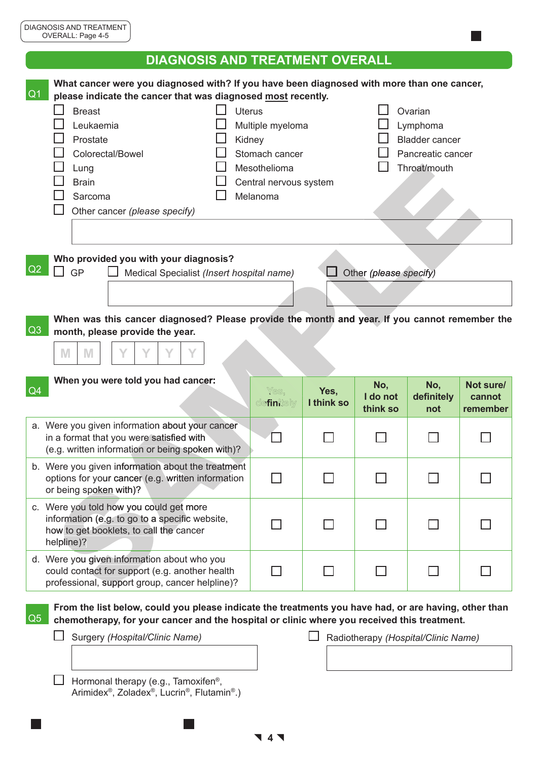|                | <b>DIAGNOSIS AND TREATMENT OVERALL</b>                                                                                                                                                                                                                                                                                                                                                                                                                                                                   |                    |                    |                             |                                     |                                 |
|----------------|----------------------------------------------------------------------------------------------------------------------------------------------------------------------------------------------------------------------------------------------------------------------------------------------------------------------------------------------------------------------------------------------------------------------------------------------------------------------------------------------------------|--------------------|--------------------|-----------------------------|-------------------------------------|---------------------------------|
| Q <sub>1</sub> | What cancer were you diagnosed with? If you have been diagnosed with more than one cancer,<br>please indicate the cancer that was diagnosed most recently.<br><b>Breast</b><br><b>Uterus</b><br>Ovarian<br>Leukaemia<br>Multiple myeloma<br>Lymphoma<br><b>Bladder cancer</b><br>Prostate<br>Kidney<br>Colorectal/Bowel<br>Stomach cancer<br>Pancreatic cancer<br>Throat/mouth<br>Mesothelioma<br>Lung<br><b>Brain</b><br>Central nervous system<br>Melanoma<br>Sarcoma<br>Other cancer (please specify) |                    |                    |                             |                                     |                                 |
| Q2             | Who provided you with your diagnosis?<br>GP<br>Medical Specialist (Insert hospital name)                                                                                                                                                                                                                                                                                                                                                                                                                 |                    |                    | Other (please specify)      |                                     |                                 |
| Q3             | When was this cancer diagnosed? Please provide the month and year. If you cannot remember the<br>month, please provide the year.<br>M<br>M                                                                                                                                                                                                                                                                                                                                                               |                    |                    |                             |                                     |                                 |
| Q4             | When you were told you had cancer:                                                                                                                                                                                                                                                                                                                                                                                                                                                                       | Yes,<br>definitely | Yes,<br>I think so | No,<br>I do not<br>think so | No,<br>definitely<br>not            | Not sure/<br>cannot<br>remember |
|                | a. Were you given information about your cancer<br>in a format that you were satisfied with<br>(e.g. written information or being spoken with)?                                                                                                                                                                                                                                                                                                                                                          |                    |                    |                             |                                     |                                 |
|                | b. Were you given information about the treatment<br>options for your cancer (e.g. written information<br>or being spoken with)?                                                                                                                                                                                                                                                                                                                                                                         |                    |                    |                             |                                     |                                 |
|                | c. Were you told how you could get more<br>information (e.g. to go to a specific website,<br>how to get booklets, to call the cancer<br>helpline)?                                                                                                                                                                                                                                                                                                                                                       |                    |                    |                             |                                     |                                 |
|                | d. Were you given information about who you<br>could contact for support (e.g. another health<br>professional, support group, cancer helpline)?                                                                                                                                                                                                                                                                                                                                                          |                    |                    |                             |                                     |                                 |
| Q5             | From the list below, could you please indicate the treatments you have had, or are having, other than<br>chemotherapy, for your cancer and the hospital or clinic where you received this treatment.<br>Surgery (Hospital/Clinic Name)<br>Hormonal therapy (e.g., Tamoxifen®,                                                                                                                                                                                                                            |                    |                    |                             | Radiotherapy (Hospital/Clinic Name) |                                 |

 **4** 

Arimidex®, Zoladex®, Lucrin®, Flutamin®.)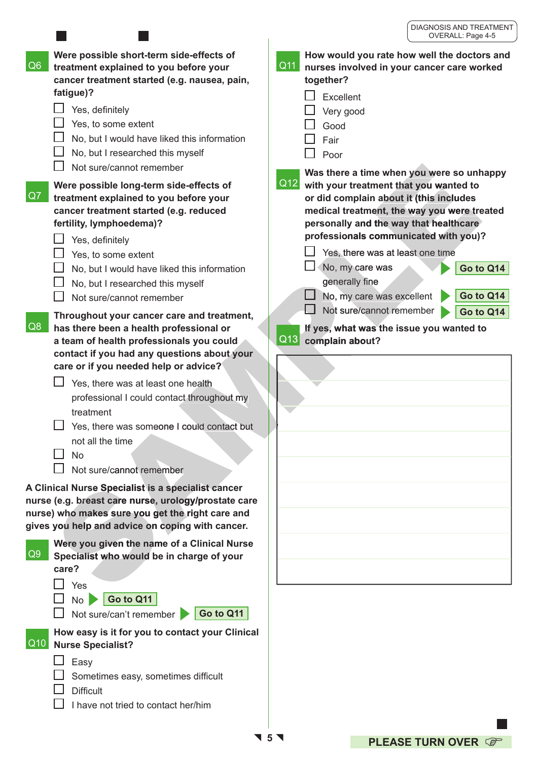|                                                                                                                                                                                                                                                                                                                                                                                                                                             | OVERALL. Faye 4-0                                                                                                                                                                                                                                                                                                                                  |
|---------------------------------------------------------------------------------------------------------------------------------------------------------------------------------------------------------------------------------------------------------------------------------------------------------------------------------------------------------------------------------------------------------------------------------------------|----------------------------------------------------------------------------------------------------------------------------------------------------------------------------------------------------------------------------------------------------------------------------------------------------------------------------------------------------|
| Were possible short-term side-effects of<br>Q6<br>treatment explained to you before your<br>cancer treatment started (e.g. nausea, pain,<br>fatigue)?<br>Yes, definitely<br>Yes, to some extent<br>No, but I would have liked this information<br>No, but I researched this myself<br>Not sure/cannot remember<br>Were possible long-term side-effects of                                                                                   | How would you rate how well the doctors and<br>$\overline{Q11}$<br>nurses involved in your cancer care worked<br>together?<br>Excellent<br>Very good<br>Good<br>Fair<br>Poor<br>Was there a time when you were so unhappy<br>Q12<br>with your treatment that you wanted to                                                                         |
| Q7<br>treatment explained to you before your<br>cancer treatment started (e.g. reduced<br>fertility, lymphoedema)?<br>Yes, definitely<br>Yes, to some extent<br>No, but I would have liked this information<br>No, but I researched this myself<br>Not sure/cannot remember                                                                                                                                                                 | or did complain about it (this includes<br>medical treatment, the way you were treated<br>personally and the way that healthcare<br>professionals communicated with you)?<br>Yes, there was at least one time<br>No, my care was<br>Go to Q14<br>generally fine<br>Go to Q14<br>No, my care was excellent<br>Not sure/cannot remember<br>Go to Q14 |
| Throughout your cancer care and treatment,<br>Q8<br>has there been a health professional or<br>a team of health professionals you could<br>contact if you had any questions about your<br>care or if you needed help or advice?<br>Yes, there was at least one health<br>professional I could contact throughout my<br>treatment<br>Yes, there was someone I could contact but<br>not all the time<br><b>No</b><br>Not sure/cannot remember | If yes, what was the issue you wanted to<br>Q13<br>complain about?                                                                                                                                                                                                                                                                                 |
| A Clinical Nurse Specialist is a specialist cancer<br>nurse (e.g. breast care nurse, urology/prostate care<br>nurse) who makes sure you get the right care and<br>gives you help and advice on coping with cancer.                                                                                                                                                                                                                          |                                                                                                                                                                                                                                                                                                                                                    |
| Were you given the name of a Clinical Nurse<br>Q9<br>Specialist who would be in charge of your<br>care?<br>Yes<br>Go to Q11<br>No<br>Go to Q11<br>Not sure/can't remember                                                                                                                                                                                                                                                                   |                                                                                                                                                                                                                                                                                                                                                    |
| How easy is it for you to contact your Clinical<br>$\vert$ Q10 $\vert$<br><b>Nurse Specialist?</b><br>Easy<br>Sometimes easy, sometimes difficult<br><b>Difficult</b><br>I have not tried to contact her/him                                                                                                                                                                                                                                |                                                                                                                                                                                                                                                                                                                                                    |

 $\mathbf{I}$ **5**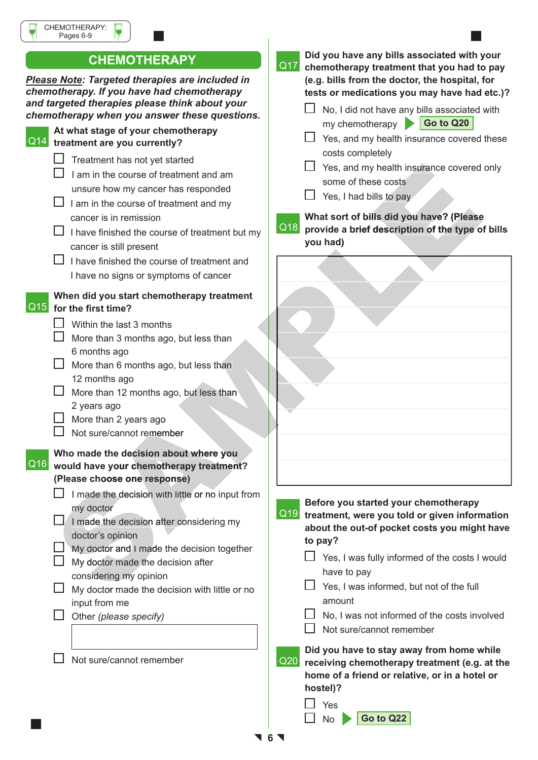|                            | CHEMOTHERAPY:<br>Pages 6-9                                                                                                                                                                                                                                                                                                                             |
|----------------------------|--------------------------------------------------------------------------------------------------------------------------------------------------------------------------------------------------------------------------------------------------------------------------------------------------------------------------------------------------------|
|                            | <b>CHEMOTHERAPY</b>                                                                                                                                                                                                                                                                                                                                    |
|                            | Please Note: Targeted therapies are included in<br>chemotherapy. If you have had chemotherapy<br>and targeted therapies please think about your<br>chemotherapy when you answer these questions.                                                                                                                                                       |
| $\overline{\mathsf{Q}}$ 14 | At what stage of your chemotherapy<br>treatment are you currently?                                                                                                                                                                                                                                                                                     |
|                            | Treatment has not yet started<br>I am in the course of treatment and am<br>unsure how my cancer has responded<br>I am in the course of treatment and my<br>cancer is in remission<br>I have finished the course of treatment but my<br>cancer is still present<br>I have finished the course of treatment and<br>I have no signs or symptoms of cancer |
| Q15                        | When did you start chemotherapy treatment<br>for the first time?<br>Within the last 3 months<br>More than 3 months ago, but less than<br>6 months ago<br>Mare than 6 months ago but less than                                                                                                                                                          |

- More than 6 months ago, but less than 12 months ago
- $\Box$  More than 12 months ago, but less than 2 years ago
- $\Box$  More than 2 years ago
- $\Box$  Not sure/cannot remember
- Q16 **would have your chemotherapy treatment? Who made the decision about where you (Please choose one response)**
	- $\Box$  I made the decision with little or no input from my doctor
	- $\Box$  I made the decision after considering my doctor's opinion
	- $\Box$  My doctor and I made the decision together
	- $\Box$  My doctor made the decision after considering my opinion
	- $\Box$  My doctor made the decision with little or no input from me
	- Other *(please specify)*

 $\Box$  Not sure/cannot remember

Q17 **chemotherapy treatment that you had to pay Did you have any bills associated with your (e.g. bills from the doctor, the hospital, for tests or medications you may have had etc.)?**   $\Box$  No, I did not have any bills associated with my chemotherapy **Go to Q20**  $\Box$  Yes, and my health insurance covered these costs completely  $\Box$  Yes, and my health insurance covered only some of these costs  $\Box$  Yes, I had bills to pay Q18 **provide a brief description of the type of bills What sort of bills did you have? (Please you had)**

Contained the course of teachers are covered the course of teachers are covered that must be course to teachers and must be course of teachers and must be course of teachers and must be course of teachers and must see t

### **Before you started your chemotherapy**

Q19 **treatment, were you told or given information about the out-of pocket costs you might have to pay?**

- $\Box$  Yes, I was fully informed of the costs I would have to pay
- $\Box$  Yes, I was informed, but not of the full amount
- $\Box$  No. I was not informed of the costs involved
- $\Box$  Not sure/cannot remember

Q20 **receiving chemotherapy treatment (e.g. at the Did you have to stay away from home while home of a friend or relative, or in a hotel or hostel)?**



 **6**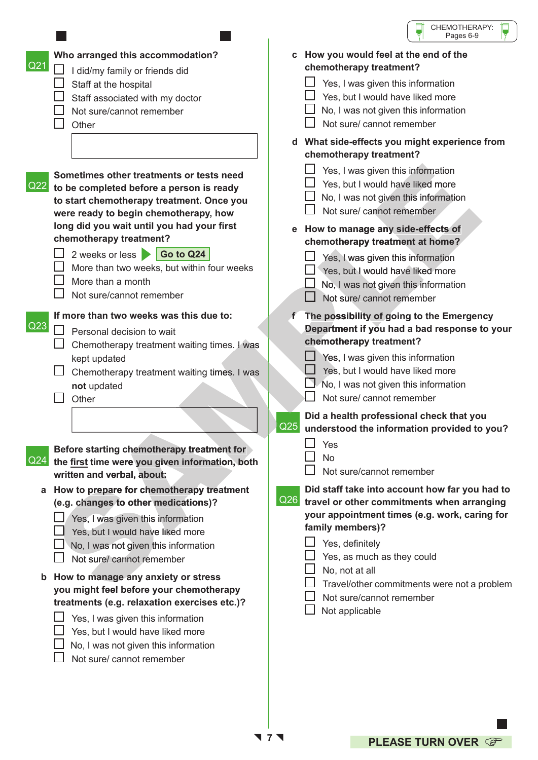|                                                                                                                                                                                                                                                                                                                                                                                           | CHEMOTHERAPY:<br>Pages 6-9                                                                                                                                                                                                                                                                                                                                                                                           |
|-------------------------------------------------------------------------------------------------------------------------------------------------------------------------------------------------------------------------------------------------------------------------------------------------------------------------------------------------------------------------------------------|----------------------------------------------------------------------------------------------------------------------------------------------------------------------------------------------------------------------------------------------------------------------------------------------------------------------------------------------------------------------------------------------------------------------|
| Who arranged this accommodation?<br>Q <sub>21</sub><br>I did/my family or friends did<br>Staff at the hospital<br>Staff associated with my doctor<br>Not sure/cannot remember<br>Other                                                                                                                                                                                                    | c How you would feel at the end of the<br>chemotherapy treatment?<br>Yes, I was given this information<br>Yes, but I would have liked more<br>No, I was not given this information<br>Not sure/ cannot remember                                                                                                                                                                                                      |
| Sometimes other treatments or tests need<br>Q22<br>to be completed before a person is ready<br>to start chemotherapy treatment. Once you<br>were ready to begin chemotherapy, how<br>long did you wait until you had your first<br>chemotherapy treatment?<br>Go to Q24<br>2 weeks or less<br>More than two weeks, but within four weeks<br>More than a month<br>Not sure/cannot remember | d What side-effects you might experience from<br>chemotherapy treatment?<br>Yes, I was given this information<br>Yes, but I would have liked more<br>No, I was not given this information<br>Not sure/ cannot remember<br>How to manage any side-effects of<br>e<br>chemotherapy treatment at home?<br>Yes, I was given this information<br>Yes, but I would have liked more<br>No, I was not given this information |
| If more than two weeks was this due to:<br>Q23<br>Personal decision to wait<br>Chemotherapy treatment waiting times. I was<br>kept updated<br>Chemotherapy treatment waiting times. I was<br>not updated<br>Other                                                                                                                                                                         | Not sure/ cannot remember<br>The possibility of going to the Emergency<br>Department if you had a bad response to your<br>chemotherapy treatment?<br>Yes, I was given this information<br>Yes, but I would have liked more<br>No, I was not given this information<br>Not sure/ cannot remember<br>Did a health professional check that you<br>Q <sub>25</sub><br>understood the information provided to you?        |
| Before starting chemotherapy treatment for<br>Q24<br>the first time were you given information, both<br>written and verbal, about:                                                                                                                                                                                                                                                        | Yes<br><b>No</b><br>Not sure/cannot remember                                                                                                                                                                                                                                                                                                                                                                         |
| How to prepare for chemotherapy treatment<br>a<br>(e.g. changes to other medications)?<br>Yes, I was given this information<br>Yes, but I would have liked more<br>No, I was not given this information<br>Not sure/ cannot remember                                                                                                                                                      | Did staff take into account how far you had to<br>Q <sub>26</sub><br>travel or other commitments when arranging<br>your appointment times (e.g. work, caring for<br>family members)?<br>Yes, definitely<br>Yes, as much as they could                                                                                                                                                                                |
| How to manage any anxiety or stress<br>you might feel before your chemotherapy<br>treatments (e.g. relaxation exercises etc.)?<br>Yes, I was given this information<br>Yes, but I would have liked more<br>No, I was not given this information<br>Not sure/ cannot remember                                                                                                              | No, not at all<br>Travel/other commitments were not a problem<br>Not sure/cannot remember<br>Not applicable                                                                                                                                                                                                                                                                                                          |

ſ

**7**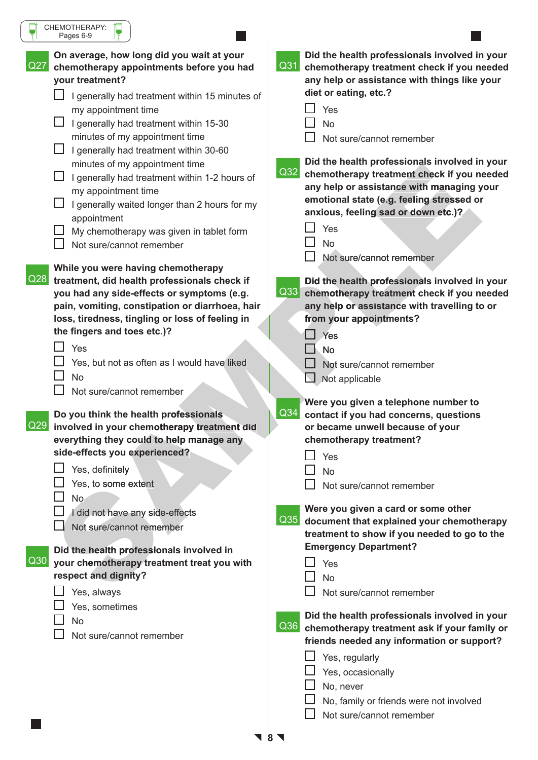| CHEMOTHERAPY:<br>Pages 6-9                                                                                                                                                                                                                                                                                                                                                  |                                                                                                                                                                                                                                                                                     |
|-----------------------------------------------------------------------------------------------------------------------------------------------------------------------------------------------------------------------------------------------------------------------------------------------------------------------------------------------------------------------------|-------------------------------------------------------------------------------------------------------------------------------------------------------------------------------------------------------------------------------------------------------------------------------------|
| On average, how long did you wait at your<br>Q27<br>chemotherapy appointments before you had<br>your treatment?<br>I generally had treatment within 15 minutes of<br>my appointment time<br>I generally had treatment within 15-30<br>minutes of my appointment time                                                                                                        | Did the health professionals involved in your<br>Q31<br>chemotherapy treatment check if you needed<br>any help or assistance with things like your<br>diet or eating, etc.?<br>Yes<br><b>No</b><br>Not sure/cannot remember                                                         |
| I generally had treatment within 30-60<br>minutes of my appointment time<br>I generally had treatment within 1-2 hours of<br>my appointment time<br>I generally waited longer than 2 hours for my<br>appointment<br>My chemotherapy was given in tablet form<br>Not sure/cannot remember                                                                                    | Did the health professionals involved in your<br>Q32<br>chemotherapy treatment check if you needed<br>any help or assistance with managing your<br>emotional state (e.g. feeling stressed or<br>anxious, feeling sad or down etc.)?<br>Yes<br><b>No</b><br>Not sure/cannot remember |
| While you were having chemotherapy<br>Q28<br>treatment, did health professionals check if<br>you had any side-effects or symptoms (e.g.<br>pain, vomiting, constipation or diarrhoea, hair<br>loss, tiredness, tingling or loss of feeling in<br>the fingers and toes etc.)?<br>Yes<br>Yes, but not as often as I would have liked<br><b>No</b><br>Not sure/cannot remember | Did the health professionals involved in your<br>Q33<br>chemotherapy treatment check if you needed<br>any help or assistance with travelling to or<br>from your appointments?<br>Yes<br><b>No</b><br>Not sure/cannot remember<br>$\Box$ Not applicable                              |
| Do you think the health professionals<br> Q29 <br>involved in your chemotherapy treatment did<br>everything they could to help manage any<br>side-effects you experienced?<br>Yes, definitely<br>Yes, to some extent<br>No.                                                                                                                                                 | Were you given a telephone number to<br>Q34<br>contact if you had concerns, questions<br>or became unwell because of your<br>chemotherapy treatment?<br>Yes<br><b>No</b><br>Not sure/cannot remember                                                                                |
| I did not have any side-effects<br>Not sure/cannot remember<br>Did the health professionals involved in<br>$\sqrt{Q}30$<br>your chemotherapy treatment treat you with<br>respect and dignity?<br>Yes, always                                                                                                                                                                | Were you given a card or some other<br>Q <sub>35</sub><br>document that explained your chemotherapy<br>treatment to show if you needed to go to the<br><b>Emergency Department?</b><br>Yes<br><b>No</b><br>Not sure/cannot remember                                                 |
| Yes, sometimes<br><b>No</b><br>Not sure/cannot remember                                                                                                                                                                                                                                                                                                                     | Did the health professionals involved in your<br>Q36<br>chemotherapy treatment ask if your family or<br>friends needed any information or support?<br>Yes, regularly<br>Yes, occasionally<br>No, never<br>No, family or friends were not involved<br>Not sure/cannot remember       |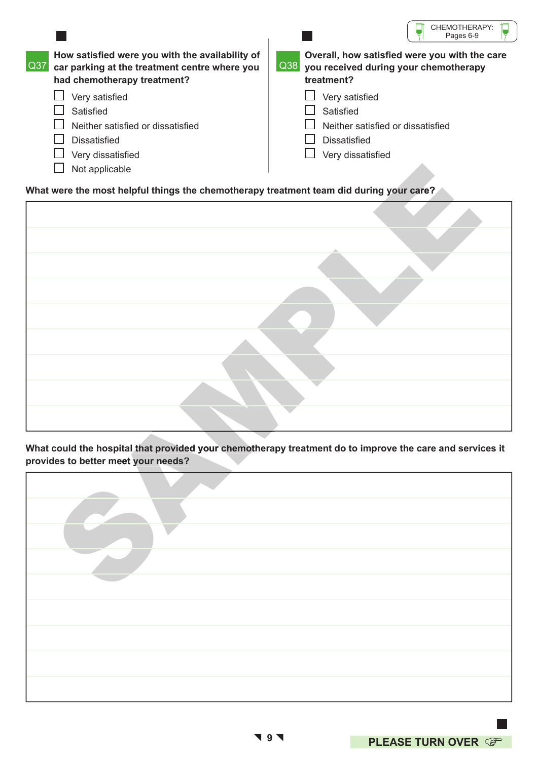|                  |                                                                                                                                 | CHEMOTHERAPY:<br>Pages 6-9                                                                                                  |
|------------------|---------------------------------------------------------------------------------------------------------------------------------|-----------------------------------------------------------------------------------------------------------------------------|
| $\overline{Q}37$ | How satisfied were you with the availability of<br>car parking at the treatment centre where you<br>had chemotherapy treatment? | Overall, how satisfied were you with the care<br>$\vert$ Q38 $\vert$<br>you received during your chemotherapy<br>treatment? |
|                  | Very satisfied                                                                                                                  | Very satisfied                                                                                                              |
|                  | Satisfied                                                                                                                       | Satisfied                                                                                                                   |
|                  | Neither satisfied or dissatisfied                                                                                               | Neither satisfied or dissatisfied                                                                                           |
|                  | <b>Dissatisfied</b>                                                                                                             | <b>Dissatisfied</b>                                                                                                         |
|                  | Very dissatisfied                                                                                                               | Very dissatisfied                                                                                                           |
|                  | Not applicable                                                                                                                  |                                                                                                                             |

### **What were the most helpful things the chemotherapy treatment team did during your care?**

| Not applicable                                                                          |  |                                                                                                          |  |
|-----------------------------------------------------------------------------------------|--|----------------------------------------------------------------------------------------------------------|--|
| What were the most helpful things the chemotherapy treatment team did during your care? |  |                                                                                                          |  |
|                                                                                         |  |                                                                                                          |  |
|                                                                                         |  |                                                                                                          |  |
|                                                                                         |  |                                                                                                          |  |
|                                                                                         |  |                                                                                                          |  |
|                                                                                         |  |                                                                                                          |  |
|                                                                                         |  |                                                                                                          |  |
|                                                                                         |  |                                                                                                          |  |
|                                                                                         |  |                                                                                                          |  |
|                                                                                         |  |                                                                                                          |  |
|                                                                                         |  |                                                                                                          |  |
|                                                                                         |  |                                                                                                          |  |
|                                                                                         |  | What could the hospital that provided your chemotherapy treatment do to improve the care and services it |  |
| provides to better meet your needs?                                                     |  |                                                                                                          |  |
|                                                                                         |  |                                                                                                          |  |
|                                                                                         |  |                                                                                                          |  |
|                                                                                         |  |                                                                                                          |  |
|                                                                                         |  |                                                                                                          |  |
|                                                                                         |  |                                                                                                          |  |
|                                                                                         |  |                                                                                                          |  |
|                                                                                         |  |                                                                                                          |  |
|                                                                                         |  |                                                                                                          |  |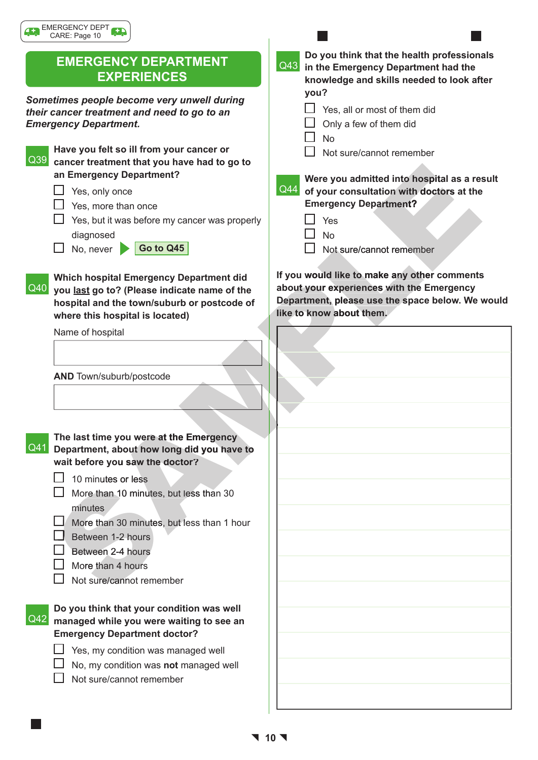## **EMERGENCY DEPARTMENT EXPERIENCES**

*Sometimes people become very unwell during their cancer treatment and need to go to an Emergency Department.* 

Q39 **cancer treatment that you have had to go to Have you felt so ill from your cancer or an Emergency Department?**

- $\Box$  Yes, only once
- $\Box$  Yes, more than once
- $\Box$  Yes, but it was before my cancer was properly diagnosed
- No, never **Go to Q45**

#### Q40 **you last go to? (Please indicate name of the Which hospital Emergency Department did hospital and the town/suburb or postcode of where this hospital is located)**

Name of hospital

**AND** Town/suburb/postcode

Q41 **Department, about how long did you have to The last time you were at the Emergency wait before you saw the doctor?**

- $\Box$  10 minutes or less
- $\Box$  More than 10 minutes, but less than 30 minutes
- More than 30 minutes, but less than 1 hour

Between 1-2 hours

- $\Box$  Between 2-4 hours
- $\Box$  More than 4 hours

 $\Omega$ 

 $\Box$  Not sure/cannot remember

| Do you think that your condition was well  |
|--------------------------------------------|
| 2 managed while you were waiting to see an |
| <b>Emergency Department doctor?</b>        |

- $\Box$  Yes, my condition was managed well
	- No, my condition was **not** managed well
- $\Box$  Not sure/cannot remember

 **Do you think that the health professionals**  Q43 **in the Emergency Department had the knowledge and skills needed to look after you?**  $\Box$  Yes, all or most of them did  $\Box$  Only a few of them did No П Not sure/cannot remember  **Were you admitted into hospital as a result**  Q44 **of your consultation with doctors at the Emergency Department?** 

- Yes No
	- Not sure/cannot remember

 **If you would like to make any other comments about your experiences with the Emergency Department, please use the space below. We would like to know about them.**



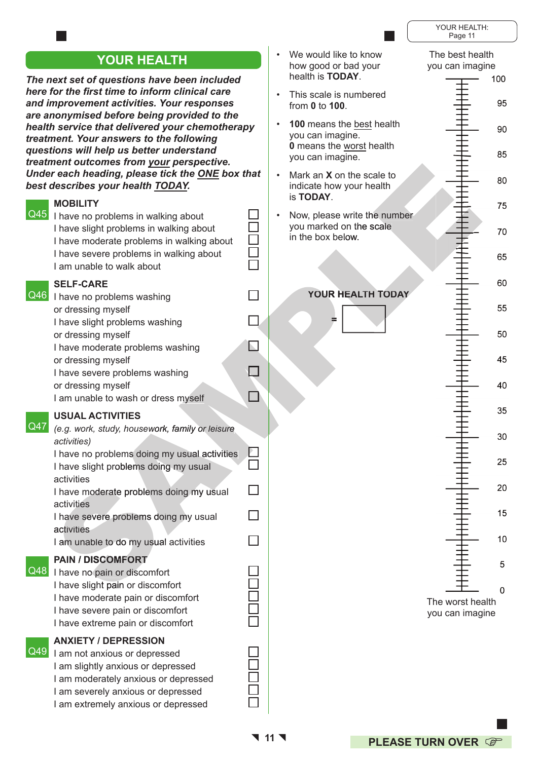|                                                                                                                                                                                                                                             |                                                                                  | YOUR HEALTH:<br>Page 11                                 |
|---------------------------------------------------------------------------------------------------------------------------------------------------------------------------------------------------------------------------------------------|----------------------------------------------------------------------------------|---------------------------------------------------------|
| <b>YOUR HEALTH</b><br>The next set of questions have been included                                                                                                                                                                          | We would like to know<br>how good or bad your<br>health is <b>TODAY</b> .        | The best health<br>you can imagine<br>100               |
| here for the first time to inform clinical care<br>and improvement activities. Your responses<br>are anonymised before being provided to the                                                                                                | This scale is numbered<br>from 0 to 100.                                         | 95                                                      |
| health service that delivered your chemotherapy<br>treatment. Your answers to the following                                                                                                                                                 | 100 means the best health<br>you can imagine.<br><b>0</b> means the worst health | 90                                                      |
| questions will help us better understand<br>treatment outcomes from your perspective.<br>Under each heading, please tick the ONE box that                                                                                                   | you can imagine.                                                                 | 85                                                      |
| best describes your health TODAY.<br><b>MOBILITY</b>                                                                                                                                                                                        | Mark an X on the scale to<br>indicate how your health<br>is TODAY.               | 80                                                      |
| $\overline{Q45}$<br>I have no problems in walking about<br>I have slight problems in walking about<br>I have moderate problems in walking about                                                                                             | Now, please write the number<br>you marked on the scale<br>in the box below.     | 75<br>70                                                |
| I have severe problems in walking about<br>I am unable to walk about                                                                                                                                                                        |                                                                                  | 65                                                      |
| <b>SELF-CARE</b><br>Q46<br>I have no problems washing                                                                                                                                                                                       | YOUR HEALTH TODAY                                                                | 60                                                      |
| or dressing myself<br>I have slight problems washing                                                                                                                                                                                        |                                                                                  | 55                                                      |
| or dressing myself<br>I have moderate problems washing<br>or dressing myself                                                                                                                                                                |                                                                                  | 50<br>45                                                |
| I have severe problems washing<br>or dressing myself<br>I am unable to wash or dress myself                                                                                                                                                 |                                                                                  | 40                                                      |
| <b>USUAL ACTIVITIES</b><br>Q47<br>(e.g. work, study, housework, family or leisure                                                                                                                                                           |                                                                                  | 35                                                      |
| activities)<br>I have no problems doing my usual activities                                                                                                                                                                                 |                                                                                  | 30<br>25                                                |
| I have slight problems doing my usual<br>activities                                                                                                                                                                                         |                                                                                  | 20                                                      |
| I have moderate problems doing my usual<br>activities<br>I have severe problems doing my usual                                                                                                                                              |                                                                                  | 15                                                      |
| activities<br>I am unable to do my usual activities                                                                                                                                                                                         |                                                                                  | 10                                                      |
| <b>PAIN / DISCOMFORT</b><br>Q48<br>I have no pain or discomfort<br>I have slight pain or discomfort<br>I have moderate pain or discomfort<br>I have severe pain or discomfort<br>I have extreme pain or discomfort                          |                                                                                  | 5<br>$\mathbf 0$<br>The worst health<br>you can imagine |
| <b>ANXIETY / DEPRESSION</b><br>$\overline{Q49}$<br>I am not anxious or depressed<br>I am slightly anxious or depressed<br>I am moderately anxious or depressed<br>I am severely anxious or depressed<br>I am extremely anxious or depressed |                                                                                  |                                                         |

**11**